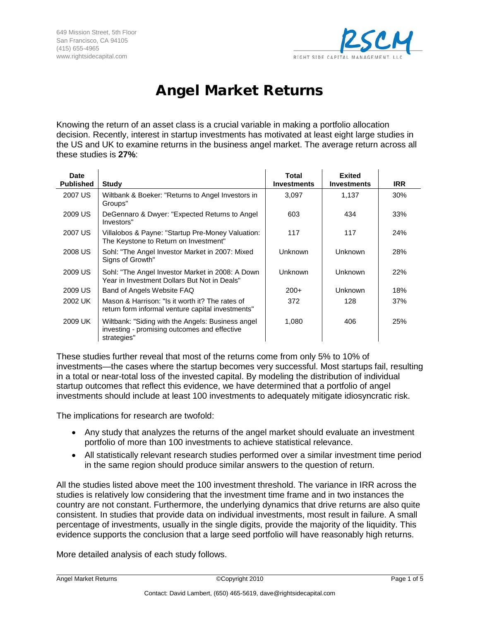

# Angel Market Returns

Knowing the return of an asset class is a crucial variable in making a portfolio allocation decision. Recently, interest in startup investments has motivated at least eight large studies in the US and UK to examine returns in the business angel market. The average return across all these studies is **27%**:

| <b>Date</b><br><b>Published</b> | <b>Study</b>                                                                                                     | Total<br><b>Investments</b> | <b>Exited</b><br><b>Investments</b> | <b>IRR</b> |
|---------------------------------|------------------------------------------------------------------------------------------------------------------|-----------------------------|-------------------------------------|------------|
| 2007 US                         | Wiltbank & Boeker: "Returns to Angel Investors in<br>Groups"                                                     | 3,097                       | 1,137                               | 30%        |
| 2009 US                         | DeGennaro & Dwyer: "Expected Returns to Angel<br>Investors"                                                      | 603                         | 434                                 | 33%        |
| 2007 US                         | Villalobos & Payne: "Startup Pre-Money Valuation:<br>The Keystone to Return on Investment"                       | 117                         | 117                                 | 24%        |
| 2008 US                         | Sohl: "The Angel Investor Market in 2007: Mixed<br>Signs of Growth"                                              | Unknown                     | <b>Unknown</b>                      | 28%        |
| 2009 US                         | Sohl: "The Angel Investor Market in 2008: A Down<br>Year in Investment Dollars But Not in Deals"                 | Unknown                     | <b>Unknown</b>                      | 22%        |
| 2009 US                         | Band of Angels Website FAQ                                                                                       | $200+$                      | Unknown                             | 18%        |
| 2002 UK                         | Mason & Harrison: "Is it worth it? The rates of<br>return form informal venture capital investments"             | 372                         | 128                                 | 37%        |
| 2009 UK                         | Wiltbank: "Siding with the Angels: Business angel<br>investing - promising outcomes and effective<br>strategies" | 1,080                       | 406                                 | 25%        |

These studies further reveal that most of the returns come from only 5% to 10% of investments—the cases where the startup becomes very successful. Most startups fail, resulting in a total or near-total loss of the invested capital. By modeling the distribution of individual startup outcomes that reflect this evidence, we have determined that a portfolio of angel investments should include at least 100 investments to adequately mitigate idiosyncratic risk.

The implications for research are twofold:

- Any study that analyzes the returns of the angel market should evaluate an investment portfolio of more than 100 investments to achieve statistical relevance.
- All statistically relevant research studies performed over a similar investment time period in the same region should produce similar answers to the question of return.

All the studies listed above meet the 100 investment threshold. The variance in IRR across the studies is relatively low considering that the investment time frame and in two instances the country are not constant. Furthermore, the underlying dynamics that drive returns are also quite consistent. In studies that provide data on individual investments, most result in failure. A small percentage of investments, usually in the single digits, provide the majority of the liquidity. This evidence supports the conclusion that a large seed portfolio will have reasonably high returns.

More detailed analysis of each study follows.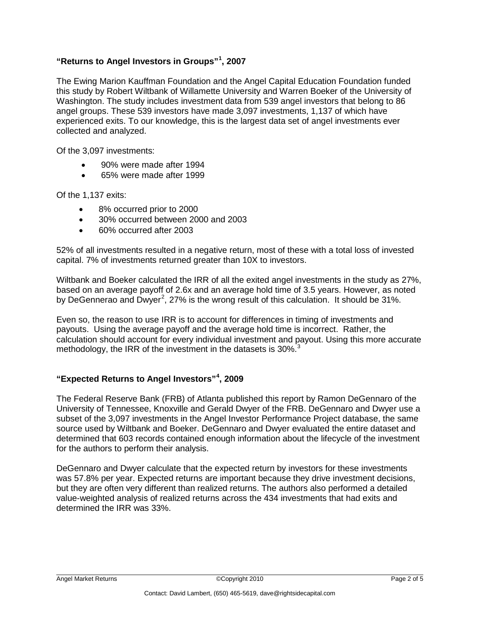# **"Returns to Angel Investors in Groups"[1](#page-4-0) , 2007**

The Ewing Marion Kauffman Foundation and the Angel Capital Education Foundation funded this study by Robert Wiltbank of Willamette University and Warren Boeker of the University of Washington. The study includes investment data from 539 angel investors that belong to 86 angel groups. These 539 investors have made 3,097 investments, 1,137 of which have experienced exits. To our knowledge, this is the largest data set of angel investments ever collected and analyzed.

Of the 3,097 investments:

- 90% were made after 1994
- 65% were made after 1999

Of the 1,137 exits:

- 8% occurred prior to 2000
- 30% occurred between 2000 and 2003
- 60% occurred after 2003

52% of all investments resulted in a negative return, most of these with a total loss of invested capital. 7% of investments returned greater than 10X to investors.

Wiltbank and Boeker calculated the IRR of all the exited angel investments in the study as 27%, based on an average payoff of 2.6x and an average hold time of 3.5 years. However, as noted by DeGennerao and Dwyer<sup>[2](#page-4-1)</sup>, 27% is the wrong result of this calculation. It should be 31%.

Even so, the reason to use IRR is to account for differences in timing of investments and payouts. Using the average payoff and the average hold time is incorrect. Rather, the calculation should account for every individual investment and payout. Using this more accurate methodology, the IRR of the investment in the datasets is [3](#page-4-2)0%.<sup>3</sup>

## **"Expected Returns to Angel Investors"[4](#page-4-3) , 2009**

The Federal Reserve Bank (FRB) of Atlanta published this report by Ramon DeGennaro of the University of Tennessee, Knoxville and Gerald Dwyer of the FRB. DeGennaro and Dwyer use a subset of the 3,097 investments in the Angel Investor Performance Project database, the same source used by Wiltbank and Boeker. DeGennaro and Dwyer evaluated the entire dataset and determined that 603 records contained enough information about the lifecycle of the investment for the authors to perform their analysis.

DeGennaro and Dwyer calculate that the expected return by investors for these investments was 57.8% per year. Expected returns are important because they drive investment decisions, but they are often very different than realized returns. The authors also performed a detailed value-weighted analysis of realized returns across the 434 investments that had exits and determined the IRR was 33%.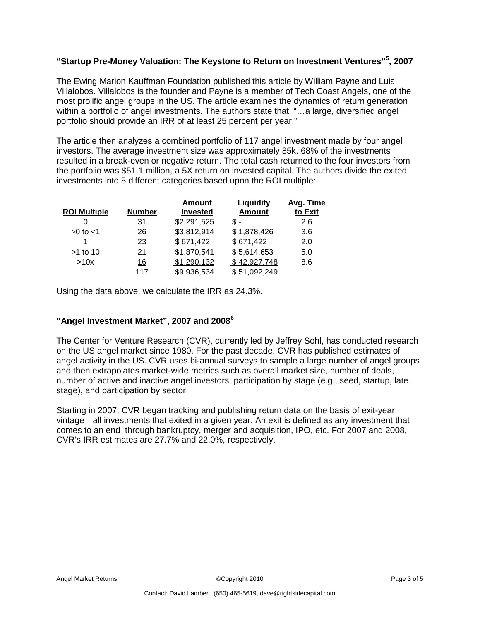# **"Startup Pre-Money Valuation: The Keystone to Return on Investment Ventures"[5](#page-4-4) , 2007**

The Ewing Marion Kauffman Foundation published this article by William Payne and Luis Villalobos. Villalobos is the founder and Payne is a member of Tech Coast Angels, one of the most prolific angel groups in the US. The article examines the dynamics of return generation within a portfolio of angel investments. The authors state that, "…a large, diversified angel portfolio should provide an IRR of at least 25 percent per year."

The article then analyzes a combined portfolio of 117 angel investment made by four angel investors. The average investment size was approximately 85k. 68% of the investments resulted in a break-even or negative return. The total cash returned to the four investors from the portfolio was \$51.1 million, a 5X return on invested capital. The authors divide the exited investments into 5 different categories based upon the ROI multiple:

|                     |               | <b>Amount</b>   | Liquidity     | Avg. Time |
|---------------------|---------------|-----------------|---------------|-----------|
| <b>ROI Multiple</b> | <b>Number</b> | <b>Invested</b> | <b>Amount</b> | to Exit   |
| 0                   | 31            | \$2,291,525     | \$ -          | 2.6       |
| $>0$ to $<1$        | 26            | \$3,812,914     | \$1,878,426   | 3.6       |
| 1                   | 23            | \$671,422       | \$671,422     | 2.0       |
| $>1$ to 10          | 21            | \$1,870,541     | \$5,614,653   | 5.0       |
| >10x                | <u>16</u>     | \$1,290,132     | \$42,927,748  | 8.6       |
|                     | 117           | \$9,936,534     | \$51,092,249  |           |

Using the data above, we calculate the IRR as 24.3%.

### **"Angel Investment Market", 2007 and 2008[6](#page-4-5)**

The Center for Venture Research (CVR), currently led by Jeffrey Sohl, has conducted research on the US angel market since 1980. For the past decade, CVR has published estimates of angel activity in the US. CVR uses bi-annual surveys to sample a large number of angel groups and then extrapolates market-wide metrics such as overall market size, number of deals, number of active and inactive angel investors, participation by stage (e.g., seed, startup, late stage), and participation by sector.

Starting in 2007, CVR began tracking and publishing return data on the basis of exit-year vintage—all investments that exited in a given year. An exit is defined as any investment that comes to an end through bankruptcy, merger and acquisition, IPO, etc. For 2007 and 2008, CVR's IRR estimates are 27.7% and 22.0%, respectively.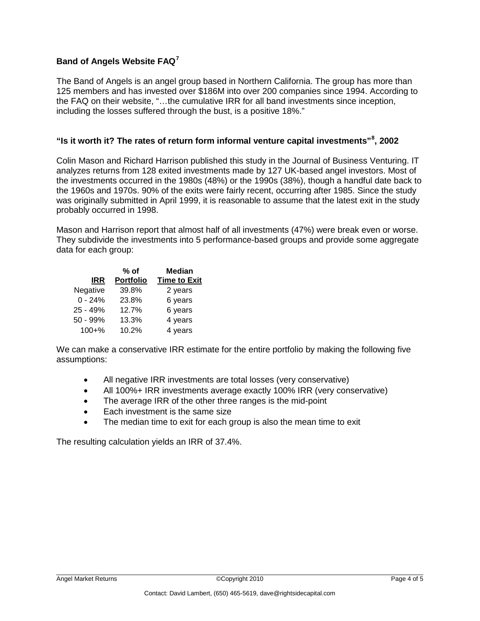#### **Band of Angels Website FAQ[7](#page-4-6)**

The Band of Angels is an angel group based in Northern California. The group has more than 125 members and has invested over \$186M into over 200 companies since 1994. According to the FAQ on their website, "…the cumulative IRR for all band investments since inception, including the losses suffered through the bust, is a positive 18%."

## **"Is it worth it? The rates of return form informal venture capital investments"[8](#page-4-7) , 2002**

Colin Mason and Richard Harrison published this study in the Journal of Business Venturing. IT analyzes returns from 128 exited investments made by 127 UK-based angel investors. Most of the investments occurred in the 1980s (48%) or the 1990s (38%), though a handful date back to the 1960s and 1970s. 90% of the exits were fairly recent, occurring after 1985. Since the study was originally submitted in April 1999, it is reasonable to assume that the latest exit in the study probably occurred in 1998.

Mason and Harrison report that almost half of all investments (47%) were break even or worse. They subdivide the investments into 5 performance-based groups and provide some aggregate data for each group:

|           | % of             | <b>Median</b>       |
|-----------|------------------|---------------------|
| IRR       | <b>Portfolio</b> | <b>Time to Exit</b> |
| Negative  | 39.8%            | 2 years             |
| $0 - 24%$ | 23.8%            | 6 years             |
| 25 - 49%  | 12.7%            | 6 years             |
| 50 - 99%  | 13.3%            | 4 years             |
| $100 + %$ | 10.2%            | 4 years             |

We can make a conservative IRR estimate for the entire portfolio by making the following five assumptions:

- All negative IRR investments are total losses (very conservative)
- All 100%+ IRR investments average exactly 100% IRR (very conservative)
- The average IRR of the other three ranges is the mid-point
- Each investment is the same size
- The median time to exit for each group is also the mean time to exit

The resulting calculation yields an IRR of 37.4%.